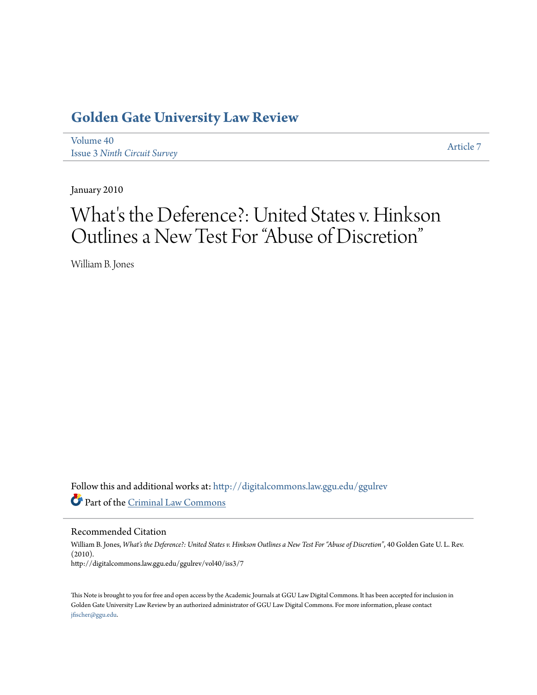# **[Golden Gate University Law Review](http://digitalcommons.law.ggu.edu/ggulrev?utm_source=digitalcommons.law.ggu.edu%2Fggulrev%2Fvol40%2Fiss3%2F7&utm_medium=PDF&utm_campaign=PDFCoverPages)**

[Volume 40](http://digitalcommons.law.ggu.edu/ggulrev/vol40?utm_source=digitalcommons.law.ggu.edu%2Fggulrev%2Fvol40%2Fiss3%2F7&utm_medium=PDF&utm_campaign=PDFCoverPages) Issue 3 *[Ninth Circuit Survey](http://digitalcommons.law.ggu.edu/ggulrev/vol40/iss3?utm_source=digitalcommons.law.ggu.edu%2Fggulrev%2Fvol40%2Fiss3%2F7&utm_medium=PDF&utm_campaign=PDFCoverPages)*

[Article 7](http://digitalcommons.law.ggu.edu/ggulrev/vol40/iss3/7?utm_source=digitalcommons.law.ggu.edu%2Fggulrev%2Fvol40%2Fiss3%2F7&utm_medium=PDF&utm_campaign=PDFCoverPages)

January 2010

# What's the Deference?: United States v. Hinkson Outlines a New Test For "Abuse of Discretion"

William B. Jones

Follow this and additional works at: [http://digitalcommons.law.ggu.edu/ggulrev](http://digitalcommons.law.ggu.edu/ggulrev?utm_source=digitalcommons.law.ggu.edu%2Fggulrev%2Fvol40%2Fiss3%2F7&utm_medium=PDF&utm_campaign=PDFCoverPages) Part of the [Criminal Law Commons](http://network.bepress.com/hgg/discipline/912?utm_source=digitalcommons.law.ggu.edu%2Fggulrev%2Fvol40%2Fiss3%2F7&utm_medium=PDF&utm_campaign=PDFCoverPages)

Recommended Citation

William B. Jones, *What's the Deference?: United States v. Hinkson Outlines a New Test For "Abuse of Discretion"*, 40 Golden Gate U. L. Rev. (2010). http://digitalcommons.law.ggu.edu/ggulrev/vol40/iss3/7

This Note is brought to you for free and open access by the Academic Journals at GGU Law Digital Commons. It has been accepted for inclusion in Golden Gate University Law Review by an authorized administrator of GGU Law Digital Commons. For more information, please contact [jfischer@ggu.edu](mailto:jfischer@ggu.edu).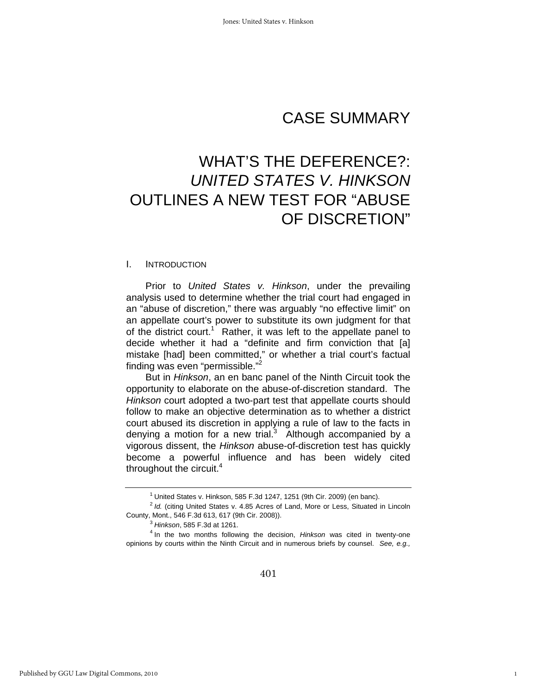# CASE SUMMARY

# WHAT'S THE DEFERENCE?: *UNITED STATES V. HINKSON* OUTLINES A NEW TEST FOR "ABUSE OF DISCRETION"

#### I. INTRODUCTION

Prior to *United States v. Hinkson*, under the prevailing analysis used to determine whether the trial court had engaged in an "abuse of discretion," there was arguably "no effective limit" on an appellate court's power to substitute its own judgment for that of the district court.<sup>1</sup> Rather, it was left to the appellate panel to decide whether it had a "definite and firm conviction that [a] mistake [had] been committed," or whether a trial court's factual finding was even "permissible."2

But in *Hinkson*, an en banc panel of the Ninth Circuit took the opportunity to elaborate on the abuse-of-discretion standard. The *Hinkson* court adopted a two-part test that appellate courts should follow to make an objective determination as to whether a district court abused its discretion in applying a rule of law to the facts in denying a motion for a new trial.<sup>3</sup> Although accompanied by a vigorous dissent, the *Hinkson* abuse-of-discretion test has quickly become a powerful influence and has been widely cited throughout the circuit.<sup>4</sup>

1

<sup>&</sup>lt;sup>1</sup> United States v. Hinkson, 585 F.3d 1247, 1251 (9th Cir. 2009) (en banc).

<sup>&</sup>lt;sup>2</sup> Id. (citing United States v. 4.85 Acres of Land, More or Less, Situated in Lincoln County, Mont., 546 F.3d 613, 617 (9th Cir. 2008)). 3

*Hinkson*, 585 F.3d at 1261. 4

<sup>&</sup>lt;sup>4</sup> In the two months following the decision, *Hinkson* was cited in twenty-one opinions by courts within the Ninth Circuit and in numerous briefs by counsel. *See, e.g.,*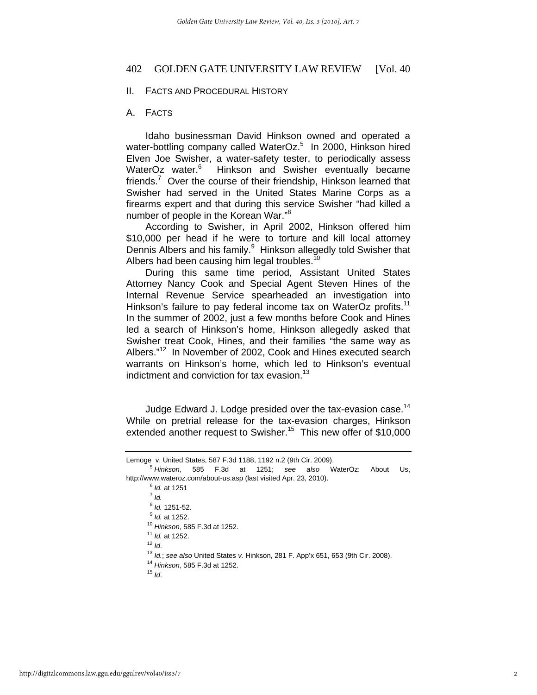#### II. FACTS AND PROCEDURAL HISTORY

#### A. FACTS

 Idaho businessman David Hinkson owned and operated a water-bottling company called WaterOz.<sup>5</sup> In 2000, Hinkson hired Elven Joe Swisher, a water-safety tester, to periodically assess WaterOz water.<sup>6</sup> Hinkson and Swisher eventually became friends.<sup>7</sup> Over the course of their friendship, Hinkson learned that Swisher had served in the United States Marine Corps as a firearms expert and that during this service Swisher "had killed a number of people in the Korean War."<sup>8</sup>

According to Swisher, in April 2002, Hinkson offered him \$10,000 per head if he were to torture and kill local attorney Dennis Albers and his family.<sup>9</sup> Hinkson allegedly told Swisher that Albers had been causing him legal troubles.<sup>10</sup>

During this same time period, Assistant United States Attorney Nancy Cook and Special Agent Steven Hines of the Internal Revenue Service spearheaded an investigation into Hinkson's failure to pay federal income tax on WaterOz profits.<sup>11</sup> In the summer of 2002, just a few months before Cook and Hines led a search of Hinkson's home, Hinkson allegedly asked that Swisher treat Cook, Hines, and their families "the same way as Albers."12 In November of 2002, Cook and Hines executed search warrants on Hinkson's home, which led to Hinkson's eventual indictment and conviction for tax evasion.<sup>13</sup>

Judge Edward J. Lodge presided over the tax-evasion case.<sup>14</sup> While on pretrial release for the tax-evasion charges, Hinkson extended another request to Swisher.<sup>15</sup> This new offer of \$10,000

 $<sup>6</sup>$  *Id.* at 1251</sup>  $^7$  *Id.*  $8$  Id. 1251-52. <sup>9</sup> *Id.* at 1252. <sup>10</sup> Hinkson, 585 F.3d at 1252.<br>
<sup>11</sup> *ld.* at 1252.<br>
<sup>12</sup> *ld.*<br>
<sup>13</sup> *ld.*; see also United States v. Hinkson, 281 F. App'x 651, 653 (9th Cir. 2008).<br>
<sup>14</sup> Hinkson, 585 F.3d at 1252.<br>
<sup>15</sup> *LA* 

Lemoge v. United States, 587 F.3d 1188, 1192 n.2 (9th Cir. 2009).

*Hinkson*, 585 F.3d at 1251; *see also* WaterOz: About Us, http://www.wateroz.com/about-us.asp (last visited Apr. 23, 2010).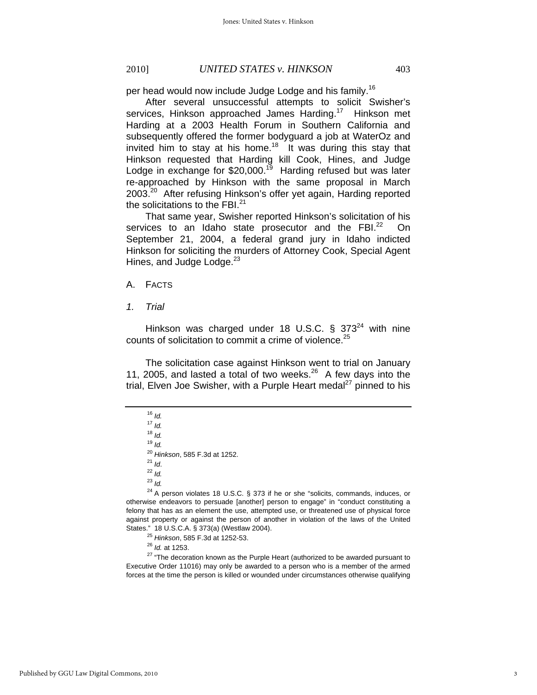per head would now include Judge Lodge and his family.<sup>16</sup>

After several unsuccessful attempts to solicit Swisher's services, Hinkson approached James Harding.<sup>17</sup> Hinkson met Harding at a 2003 Health Forum in Southern California and subsequently offered the former bodyguard a job at WaterOz and invited him to stay at his home.<sup>18</sup> It was during this stay that Hinkson requested that Harding kill Cook, Hines, and Judge Lodge in exchange for  $$20,000.<sup>19</sup>$  Harding refused but was later re-approached by Hinkson with the same proposal in March 2003.<sup>20</sup> After refusing Hinkson's offer yet again, Harding reported the solicitations to the FBI. $^{21}$ 

That same year, Swisher reported Hinkson's solicitation of his services to an Idaho state prosecutor and the FBI $^{22}$  On September 21, 2004, a federal grand jury in Idaho indicted Hinkson for soliciting the murders of Attorney Cook, Special Agent Hines, and Judge Lodge.<sup>23</sup>

#### A. FACTS

*1. Trial* 

Hinkson was charged under 18 U.S.C.  $\S$  373<sup>24</sup> with nine counts of solicitation to commit a crime of violence.<sup>25</sup>

The solicitation case against Hinkson went to trial on January 11, 2005, and lasted a total of two weeks.26 A few days into the trial, Elven Joe Swisher, with a Purple Heart medal $^{27}$  pinned to his

<sup>19</sup> *Id.*

<sup>23</sup> *Id.*

 $^{24}$  A person violates 18 U.S.C. § 373 if he or she "solicits, commands, induces, or otherwise endeavors to persuade [another] person to engage" in "conduct constituting a felony that has as an element the use, attempted use, or threatened use of physical force against property or against the person of another in violation of the laws of the United

States." 18 U.S.C.A. § 373(a) (Westlaw 2004).<br><sup>25</sup> Hinkson, 585 F.3d at 1252-53.<br><sup>26</sup> Id. at 1253.<br><sup>27</sup> "The decoration known as the Purple Heart (authorized to be awarded pursuant to Executive Order 11016) may only be awarded to a person who is a member of the armed forces at the time the person is killed or wounded under circumstances otherwise qualifying

 $16$  *Id.* 

<sup>17</sup> *Id.*

<sup>18</sup> *Id.*

<sup>20</sup> *Hinkson*, 585 F.3d at 1252. 21 *Id*. 22 *Id.*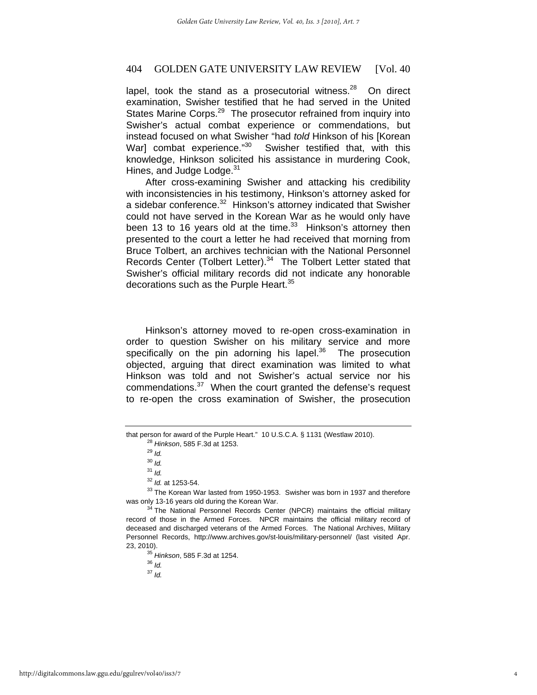lapel, took the stand as a prosecutorial witness. $28$  On direct examination, Swisher testified that he had served in the United States Marine Corps.<sup>29</sup> The prosecutor refrained from inquiry into Swisher's actual combat experience or commendations, but instead focused on what Swisher "had *told* Hinkson of his [Korean War] combat experience."<sup>30</sup> Swisher testified that, with this knowledge, Hinkson solicited his assistance in murdering Cook, Hines, and Judge Lodge.<sup>31</sup>

After cross-examining Swisher and attacking his credibility with inconsistencies in his testimony, Hinkson's attorney asked for a sidebar conference.<sup>32</sup> Hinkson's attorney indicated that Swisher could not have served in the Korean War as he would only have been 13 to 16 years old at the time. $33$  Hinkson's attorney then presented to the court a letter he had received that morning from Bruce Tolbert, an archives technician with the National Personnel Records Center (Tolbert Letter).<sup>34</sup> The Tolbert Letter stated that Swisher's official military records did not indicate any honorable decorations such as the Purple Heart.<sup>35</sup>

Hinkson's attorney moved to re-open cross-examination in order to question Swisher on his military service and more specifically on the pin adorning his lapel. $36$  The prosecution objected, arguing that direct examination was limited to what Hinkson was told and not Swisher's actual service nor his commendations.<sup>37</sup> When the court granted the defense's request to re-open the cross examination of Swisher, the prosecution

<sup>37</sup> *Id.*

that person for award of the Purple Heart." 10 U.S.C.A. § 1131 (Westlaw 2010). 28 *Hinkson*, 585 F.3d at 1253. 29 *Id.*

<sup>30</sup> *Id.*

 $\frac{31}{10}$ *Id.*<br> $\frac{32}{10}$ *Id.* at 1253-54.

<sup>&</sup>lt;sup>33</sup> The Korean War lasted from 1950-1953. Swisher was born in 1937 and therefore was only 13-16 years old during the Korean War.<br><sup>34</sup> The National Personnel Records Center (NPCR) maintains the official military

record of those in the Armed Forces. NPCR maintains the official military record of deceased and discharged veterans of the Armed Forces. The National Archives, Military Personnel Records, http://www.archives.gov/st-louis/military-personnel/ (last visited Apr. 23, 2010). 35 *Hinkson*, 585 F.3d at 1254. 36 *Id.*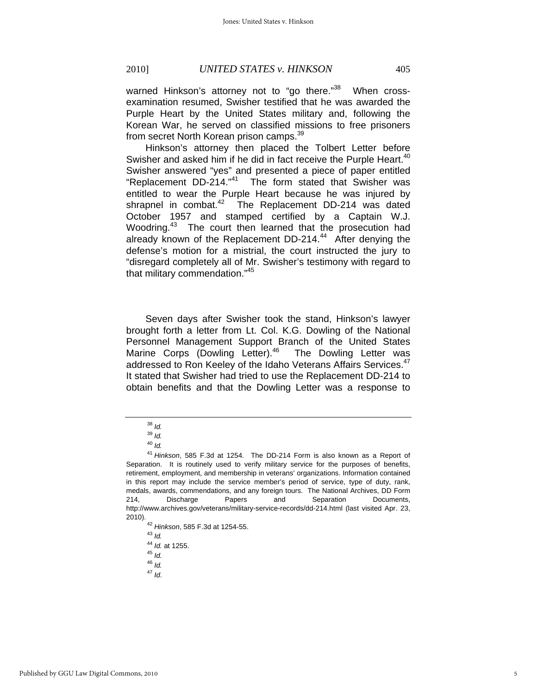warned Hinkson's attorney not to "go there."<sup>38</sup> When crossexamination resumed, Swisher testified that he was awarded the Purple Heart by the United States military and, following the Korean War, he served on classified missions to free prisoners from secret North Korean prison camps.<sup>39</sup>

Hinkson's attorney then placed the Tolbert Letter before Swisher and asked him if he did in fact receive the Purple Heart.<sup>40</sup> Swisher answered "yes" and presented a piece of paper entitled "Replacement DD-214."41 The form stated that Swisher was entitled to wear the Purple Heart because he was injured by shrapnel in combat. $42$  The Replacement DD-214 was dated October 1957 and stamped certified by a Captain W.J. Woodring.<sup>43</sup> The court then learned that the prosecution had already known of the Replacement DD-214.<sup>44</sup> After denying the defense's motion for a mistrial, the court instructed the jury to "disregard completely all of Mr. Swisher's testimony with regard to that military commendation."<sup>45</sup>

Seven days after Swisher took the stand, Hinkson's lawyer brought forth a letter from Lt. Col. K.G. Dowling of the National Personnel Management Support Branch of the United States Marine Corps (Dowling Letter).<sup>46</sup> The Dowling Letter was addressed to Ron Keeley of the Idaho Veterans Affairs Services.<sup>47</sup> It stated that Swisher had tried to use the Replacement DD-214 to obtain benefits and that the Dowling Letter was a response to

<sup>38</sup> *Id.*

<sup>39</sup> *Id.*

<sup>40</sup> *Id.*

<sup>41</sup> *Hinkson*, 585 F.3d at 1254. The DD-214 Form is also known as a Report of Separation. It is routinely used to verify military service for the purposes of benefits, retirement, employment, and membership in veterans' organizations. Information contained in this report may include the service member's period of service, type of duty, rank, medals, awards, commendations, and any foreign tours. The National Archives, DD Form 214, Discharge Papers and Separation Documents, http://www.archives.gov/veterans/military-service-records/dd-214.html (last visited Apr. 23, 2010). 42 *Hinkson*, 585 F.3d at 1254-55. 43 *Id.*

<sup>44</sup> *Id.* at 1255. 45 *Id.*

<sup>46</sup> *Id.*

<sup>47</sup> *Id*.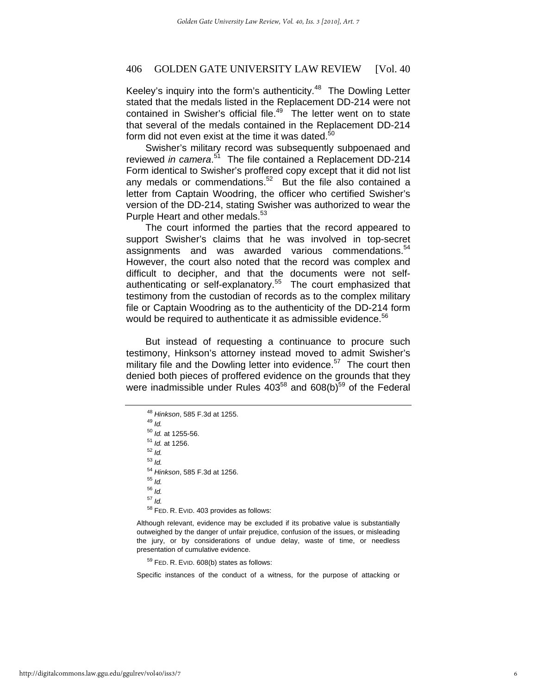Keeley's inquiry into the form's authenticity. $48$  The Dowling Letter stated that the medals listed in the Replacement DD-214 were not contained in Swisher's official file. $49$  The letter went on to state that several of the medals contained in the Replacement DD-214 form did not even exist at the time it was dated. $50$ 

Swisher's military record was subsequently subpoenaed and reviewed *in camera*. 51 The file contained a Replacement DD-214 Form identical to Swisher's proffered copy except that it did not list any medals or commendations.<sup>52</sup> But the file also contained a letter from Captain Woodring, the officer who certified Swisher's version of the DD-214, stating Swisher was authorized to wear the Purple Heart and other medals.<sup>53</sup>

The court informed the parties that the record appeared to support Swisher's claims that he was involved in top-secret assignments and was awarded various commendations.<sup>54</sup> However, the court also noted that the record was complex and difficult to decipher, and that the documents were not selfauthenticating or self-explanatory.55 The court emphasized that testimony from the custodian of records as to the complex military file or Captain Woodring as to the authenticity of the DD-214 form would be required to authenticate it as admissible evidence.<sup>56</sup>

But instead of requesting a continuance to procure such testimony, Hinkson's attorney instead moved to admit Swisher's military file and the Dowling letter into evidence.<sup>57</sup> The court then denied both pieces of proffered evidence on the grounds that they were inadmissible under Rules  $403^{58}$  and  $608(b)^{59}$  of the Federal

Although relevant, evidence may be excluded if its probative value is substantially outweighed by the danger of unfair prejudice, confusion of the issues, or misleading the jury, or by considerations of undue delay, waste of time, or needless presentation of cumulative evidence.

59 FED. R. EVID. 608(b) states as follows:

Specific instances of the conduct of a witness, for the purpose of attacking or

<sup>48</sup> *Hinkson*, 585 F.3d at 1255. 49 *Id.* <sup>50</sup> *Id.* at 1255-56. 51 *Id.* at 1256. 52 *Id.* <sup>53</sup> *Id.* <sup>54</sup> *Hinkson*, 585 F.3d at 1256. 55 *Id.* <sup>56</sup> *Id.* <sup>57</sup> *Id.* 58 FED. R. EVID. 403 provides as follows: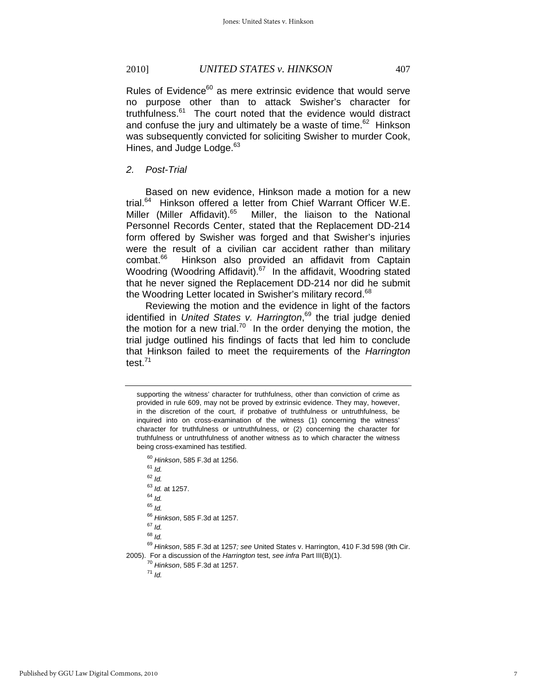Rules of Evidence<sup>60</sup> as mere extrinsic evidence that would serve no purpose other than to attack Swisher's character for truthfulness.<sup>61</sup> The court noted that the evidence would distract and confuse the jury and ultimately be a waste of time.<sup>62</sup> Hinkson was subsequently convicted for soliciting Swisher to murder Cook, Hines, and Judge Lodge.<sup>63</sup>

*2. Post-Trial* 

Based on new evidence, Hinkson made a motion for a new trial.<sup>64</sup> Hinkson offered a letter from Chief Warrant Officer W.E. Miller (Miller Affidavit).<sup>65</sup> Miller, the liaison to the National Personnel Records Center, stated that the Replacement DD-214 form offered by Swisher was forged and that Swisher's injuries were the result of a civilian car accident rather than military combat.66 Hinkson also provided an affidavit from Captain Woodring (Woodring Affidavit).<sup>67</sup> In the affidavit, Woodring stated that he never signed the Replacement DD-214 nor did he submit the Woodring Letter located in Swisher's military record.<sup>68</sup>

Reviewing the motion and the evidence in light of the factors identified in *United States v. Harrington*, 69 the trial judge denied the motion for a new trial.<sup>70</sup> In the order denying the motion, the trial judge outlined his findings of facts that led him to conclude that Hinkson failed to meet the requirements of the *Harrington*  test.71

<sup>60</sup> *Hinkson*, 585 F.3d at 1256. 61 *Id.*

<sup>62</sup> *Id.* <sup>63</sup> *Id.* at 1257. 64 *Id.* <sup>65</sup> *Id.*

<sup>66</sup> *Hinkson*, 585 F.3d at 1257. 67 *Id.*

<sup>68</sup> *Id.*

<sup>69</sup> *Hinkson*, 585 F.3d at 1257*; see* United States v. Harrington, 410 F.3d 598 (9th Cir. 2005). For a discussion of the *Harrington* test, *see infra* Part III(B)(1). 70 *Hinkson*, 585 F.3d at 1257. 71 *Id.*

supporting the witness' character for truthfulness, other than conviction of crime as provided in rule 609, may not be proved by extrinsic evidence. They may, however, in the discretion of the court, if probative of truthfulness or untruthfulness, be inquired into on cross-examination of the witness (1) concerning the witness' character for truthfulness or untruthfulness, or (2) concerning the character for truthfulness or untruthfulness of another witness as to which character the witness being cross-examined has testified.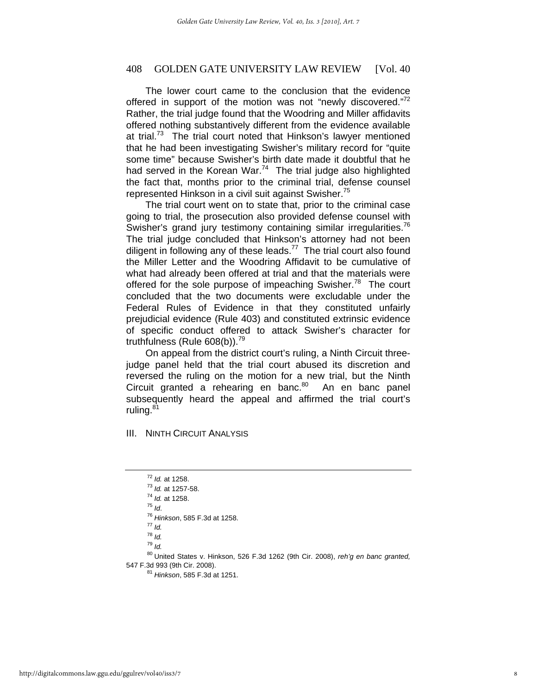The lower court came to the conclusion that the evidence offered in support of the motion was not "newly discovered."72 Rather, the trial judge found that the Woodring and Miller affidavits offered nothing substantively different from the evidence available at trial.<sup>73</sup> The trial court noted that Hinkson's lawyer mentioned that he had been investigating Swisher's military record for "quite some time" because Swisher's birth date made it doubtful that he had served in the Korean War. $74$  The trial judge also highlighted the fact that, months prior to the criminal trial, defense counsel represented Hinkson in a civil suit against Swisher.<sup>75</sup>

The trial court went on to state that, prior to the criminal case going to trial, the prosecution also provided defense counsel with Swisher's grand jury testimony containing similar irregularities.<sup>76</sup> The trial judge concluded that Hinkson's attorney had not been diligent in following any of these leads.<sup>77</sup> The trial court also found the Miller Letter and the Woodring Affidavit to be cumulative of what had already been offered at trial and that the materials were offered for the sole purpose of impeaching Swisher.<sup>78</sup> The court concluded that the two documents were excludable under the Federal Rules of Evidence in that they constituted unfairly prejudicial evidence (Rule 403) and constituted extrinsic evidence of specific conduct offered to attack Swisher's character for truthfulness (Rule 608(b)).<sup>79</sup>

On appeal from the district court's ruling, a Ninth Circuit threejudge panel held that the trial court abused its discretion and reversed the ruling on the motion for a new trial, but the Ninth Circuit granted a rehearing en banc.<sup>80</sup> An en banc panel subsequently heard the appeal and affirmed the trial court's ruling.<sup>81</sup>

III. NINTH CIRCUIT ANALYSIS

- <sup>72</sup> *Id.* at 1258. 73 *Id.* at 1257-58. 74 *Id.* at 1258. 75 *Id*. 76 *Hinkson*, 585 F.3d at 1258. 77 *Id.*
- 
- <sup>78</sup> *Id.*
- <sup>79</sup> *Id.*
- 80 United States v. Hinkson, 526 F.3d 1262 (9th Cir. 2008), *reh'g en banc granted,*  547 F.3d 993 (9th Cir. 2008). 81 *Hinkson*, 585 F.3d at 1251.
	-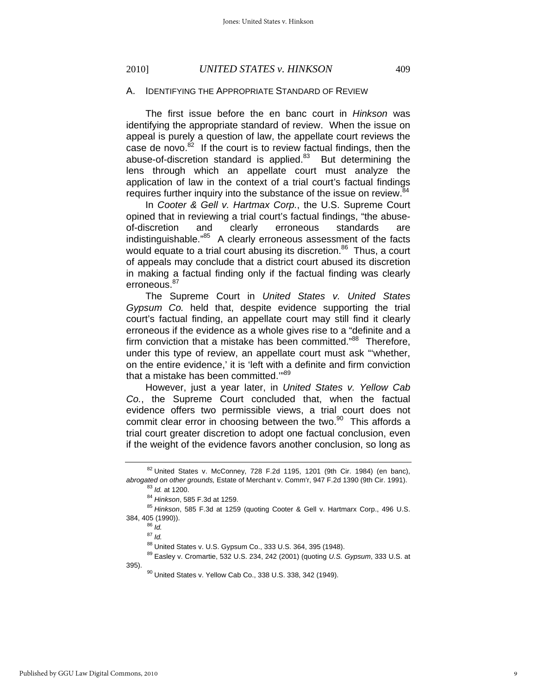#### 2010] *UNITED STATES v. HINKSON* 409

#### A. IDENTIFYING THE APPROPRIATE STANDARD OF REVIEW

The first issue before the en banc court in *Hinkson* was identifying the appropriate standard of review. When the issue on appeal is purely a question of law, the appellate court reviews the case de novo. $82$  If the court is to review factual findings, then the abuse-of-discretion standard is applied. $83$  But determining the lens through which an appellate court must analyze the application of law in the context of a trial court's factual findings requires further inquiry into the substance of the issue on review.<sup>84</sup>

In *Cooter & Gell v. Hartmax Corp.*, the U.S. Supreme Court opined that in reviewing a trial court's factual findings, "the abuseof-discretion and clearly erroneous standards are indistinguishable."85 A clearly erroneous assessment of the facts would equate to a trial court abusing its discretion.<sup>86</sup> Thus, a court of appeals may conclude that a district court abused its discretion in making a factual finding only if the factual finding was clearly erroneous.<sup>87</sup>

The Supreme Court in *United States v. United States Gypsum Co.* held that, despite evidence supporting the trial court's factual finding, an appellate court may still find it clearly erroneous if the evidence as a whole gives rise to a "definite and a firm conviction that a mistake has been committed."<sup>88</sup> Therefore, under this type of review, an appellate court must ask "'whether, on the entire evidence,' it is 'left with a definite and firm conviction that a mistake has been committed."<sup>89</sup>

However, just a year later, in *United States v. Yellow Cab Co.*, the Supreme Court concluded that, when the factual evidence offers two permissible views, a trial court does not commit clear error in choosing between the two.<sup>90</sup> This affords a trial court greater discretion to adopt one factual conclusion, even if the weight of the evidence favors another conclusion, so long as

384, 405 (1990)). 86 *Id.*

 $82$  United States v. McConney, 728 F.2d 1195, 1201 (9th Cir. 1984) (en banc), abrogated on other grounds, Estate of Merchant v. Comm'r, 947 F.2d 1390 (9th Cir. 1991).<br><sup>83</sup> Id. at 1200.<br><sup>84</sup> Hinkson, 585 F.3d at 1259.<br><sup>85</sup> Hinkson, 585 F.3d at 1259 (quoting Cooter & Gell v. Hartmarx Corp., 496 U.S.

<sup>87</sup> *Id.*

<sup>88</sup> United States v. U.S. Gypsum Co., 333 U.S. 364, 395 (1948).

<sup>89</sup> Easley v. Cromartie, 532 U.S. 234, 242 (2001) (quoting *U.S. Gypsum*, 333 U.S. at

<sup>395). 90</sup> United States v. Yellow Cab Co., 338 U.S. 338, 342 (1949).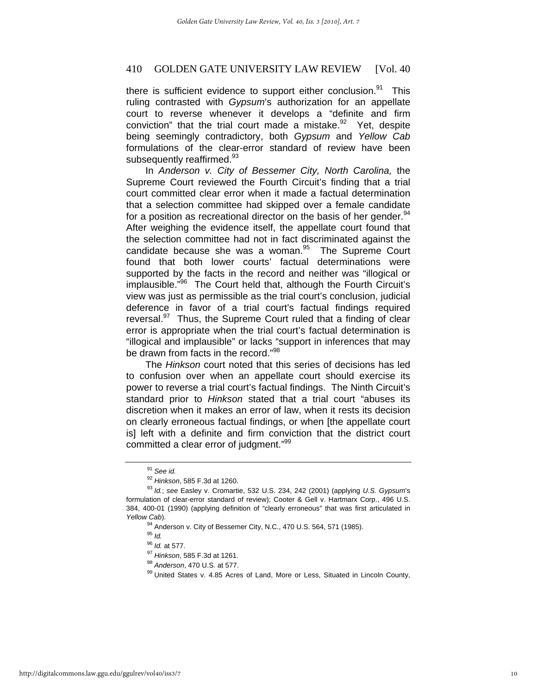there is sufficient evidence to support either conclusion. $91$  This ruling contrasted with *Gypsum*'s authorization for an appellate court to reverse whenever it develops a "definite and firm conviction" that the trial court made a mistake. $92$  Yet, despite being seemingly contradictory, both *Gypsum* and *Yellow Cab*  formulations of the clear-error standard of review have been subsequently reaffirmed.<sup>93</sup>

In *Anderson v. City of Bessemer City, North Carolina,* the Supreme Court reviewed the Fourth Circuit's finding that a trial court committed clear error when it made a factual determination that a selection committee had skipped over a female candidate for a position as recreational director on the basis of her gender. $94$ After weighing the evidence itself, the appellate court found that the selection committee had not in fact discriminated against the candidate because she was a woman. $95$  The Supreme Court found that both lower courts' factual determinations were supported by the facts in the record and neither was "illogical or implausible."96 The Court held that, although the Fourth Circuit's view was just as permissible as the trial court's conclusion, judicial deference in favor of a trial court's factual findings required reversal.<sup>97</sup> Thus, the Supreme Court ruled that a finding of clear error is appropriate when the trial court's factual determination is "illogical and implausible" or lacks "support in inferences that may be drawn from facts in the record."<sup>98</sup>

The *Hinkson* court noted that this series of decisions has led to confusion over when an appellate court should exercise its power to reverse a trial court's factual findings. The Ninth Circuit's standard prior to *Hinkson* stated that a trial court "abuses its discretion when it makes an error of law, when it rests its decision on clearly erroneous factual findings, or when [the appellate court is] left with a definite and firm conviction that the district court committed a clear error of judgment."99

<sup>&</sup>lt;sup>91</sup> See id.<br><sup>92</sup> Hinkson, 585 F.3d at 1260.

<sup>&</sup>lt;sup>93</sup> Id.; see Easley v. Cromartie, 532 U.S. 234, 242 (2001) (applying *U.S. Gypsum*'s formulation of clear-error standard of review); Cooter & Gell v. Hartmarx Corp., 496 U.S. 384, 400-01 (1990) (applying definition of "clearly erroneous" that was first articulated in *Yellow Cab*). 94 Anderson v. City of Bessemer City, N.C., 470 U.S. 564, 571 (1985).

<sup>&</sup>lt;sup>95</sup> *Id.*<br><sup>96</sup> *Id.* at 577.

<sup>&</sup>lt;sup>97</sup> Hinkson, 585 F.3d at 1261.<br><sup>98</sup> Anderson, 470 U.S. at 577.<br><sup>99</sup> United States v. 4.85 Acres of Land, More or Less, Situated in Lincoln County,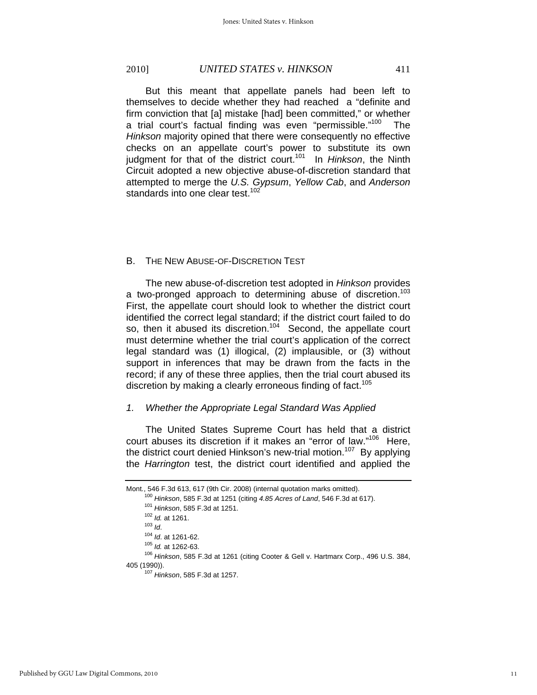# 2010] *UNITED STATES v. HINKSON* 411

But this meant that appellate panels had been left to themselves to decide whether they had reached a "definite and firm conviction that [a] mistake [had] been committed," or whether a trial court's factual finding was even "permissible."<sup>100</sup> The *Hinkson* majority opined that there were consequently no effective checks on an appellate court's power to substitute its own judgment for that of the district court.<sup>101</sup> In *Hinkson*, the Ninth Circuit adopted a new objective abuse-of-discretion standard that attempted to merge the *U.S. Gypsum*, *Yellow Cab*, and *Anderson* standards into one clear test. $102$ 

#### B. THE NEW ABUSE-OF-DISCRETION TEST

The new abuse-of-discretion test adopted in *Hinkson* provides a two-pronged approach to determining abuse of discretion.<sup>103</sup> First, the appellate court should look to whether the district court identified the correct legal standard; if the district court failed to do so, then it abused its discretion.<sup>104</sup> Second, the appellate court must determine whether the trial court's application of the correct legal standard was (1) illogical, (2) implausible, or (3) without support in inferences that may be drawn from the facts in the record; if any of these three applies, then the trial court abused its discretion by making a clearly erroneous finding of fact.<sup>105</sup>

### *1. Whether the Appropriate Legal Standard Was Applied*

The United States Supreme Court has held that a district court abuses its discretion if it makes an "error of law."106 Here, the district court denied Hinkson's new-trial motion.<sup>107</sup> By applying the *Harrington* test, the district court identified and applied the

Mont*.*, 546 F.3d 613, 617 (9th Cir. 2008) (internal quotation marks omitted). <sup>101</sup> Hinkson, 585 F.3d at 1251.<br><sup>102</sup> Id. at 1261.<br><sup>103</sup> Id. at 1261-62.<br><sup>104</sup> Id. at 1262-63.<br><sup>106</sup> Hinkson, 585 F.3d at 1261 (citing Cooter & Gell v. Hartmarx Corp., 496 U.S. 384, 405 (1990)). 107 *Hinkson*, 585 F.3d at 1257.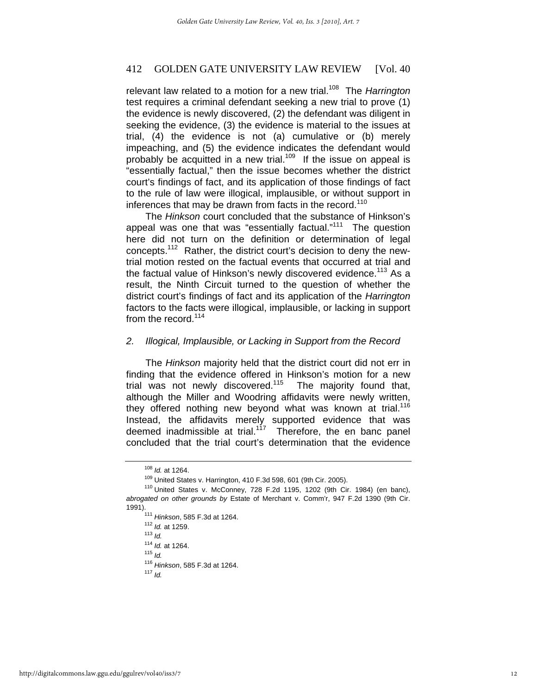relevant law related to a motion for a new trial.108 The *Harrington* test requires a criminal defendant seeking a new trial to prove (1) the evidence is newly discovered, (2) the defendant was diligent in seeking the evidence, (3) the evidence is material to the issues at trial, (4) the evidence is not (a) cumulative or (b) merely impeaching, and (5) the evidence indicates the defendant would probably be acquitted in a new trial.<sup>109</sup> If the issue on appeal is "essentially factual," then the issue becomes whether the district court's findings of fact, and its application of those findings of fact to the rule of law were illogical, implausible, or without support in inferences that may be drawn from facts in the record.<sup>110</sup>

The *Hinkson* court concluded that the substance of Hinkson's appeal was one that was "essentially factual."<sup>111</sup> The question here did not turn on the definition or determination of legal concepts.112 Rather, the district court's decision to deny the newtrial motion rested on the factual events that occurred at trial and the factual value of Hinkson's newly discovered evidence.<sup>113</sup> As a result, the Ninth Circuit turned to the question of whether the district court's findings of fact and its application of the *Harrington*  factors to the facts were illogical, implausible, or lacking in support from the record.<sup>114</sup>

#### *2. Illogical, Implausible, or Lacking in Support from the Record*

The *Hinkson* majority held that the district court did not err in finding that the evidence offered in Hinkson's motion for a new trial was not newly discovered.<sup>115</sup> The majority found that, although the Miller and Woodring affidavits were newly written, they offered nothing new beyond what was known at trial.<sup>116</sup> Instead, the affidavits merely supported evidence that was deemed inadmissible at trial.<sup>117</sup> Therefore, the en banc panel concluded that the trial court's determination that the evidence

<sup>108</sup> *Id.* at 1264.<br><sup>109</sup> United States v. Harrington, 410 F.3d 598, 601 (9th Cir. 2005).<br><sup>110</sup> United States v. McConney, 728 F.2d 1195, 1202 (9th Cir. 1984) (en banc), *abrogated on other grounds by* Estate of Merchant v. Comm'r, 947 F.2d 1390 (9th Cir. 1991). 111 *Hinkson*, 585 F.3d at 1264. 112 *Id.* at 1259. 113 *Id.*

<sup>114</sup> *Id.* at 1264. 115 *Id.*

<sup>116</sup> *Hinkson*, 585 F.3d at 1264. 117 *Id.*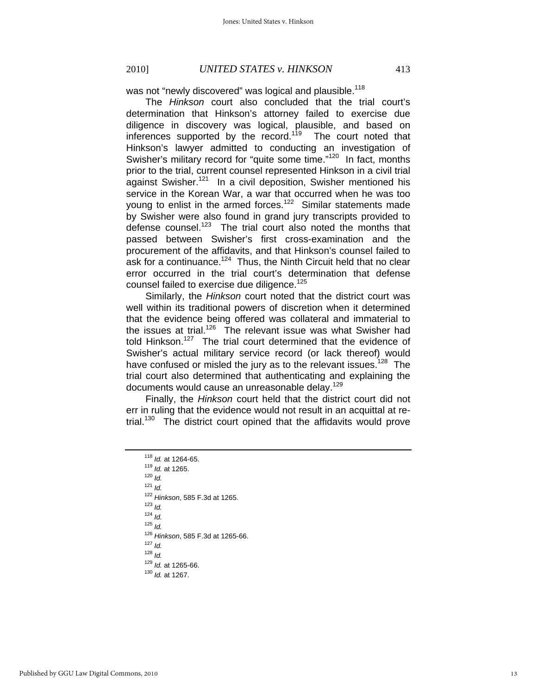was not "newly discovered" was logical and plausible.<sup>118</sup>

The *Hinkson* court also concluded that the trial court's determination that Hinkson's attorney failed to exercise due diligence in discovery was logical, plausible, and based on inferences supported by the record.<sup>119</sup> The court noted that Hinkson's lawyer admitted to conducting an investigation of Swisher's military record for "quite some time."<sup>120</sup> In fact, months prior to the trial, current counsel represented Hinkson in a civil trial against Swisher.<sup>121</sup> In a civil deposition, Swisher mentioned his service in the Korean War, a war that occurred when he was too young to enlist in the armed forces.<sup>122</sup> Similar statements made by Swisher were also found in grand jury transcripts provided to defense counsel.123 The trial court also noted the months that passed between Swisher's first cross-examination and the procurement of the affidavits, and that Hinkson's counsel failed to ask for a continuance.<sup>124</sup> Thus, the Ninth Circuit held that no clear error occurred in the trial court's determination that defense counsel failed to exercise due diligence.<sup>125</sup>

Similarly, the *Hinkson* court noted that the district court was well within its traditional powers of discretion when it determined that the evidence being offered was collateral and immaterial to the issues at trial.<sup>126</sup> The relevant issue was what Swisher had told Hinkson.<sup>127</sup> The trial court determined that the evidence of Swisher's actual military service record (or lack thereof) would have confused or misled the jury as to the relevant issues.<sup>128</sup> The trial court also determined that authenticating and explaining the documents would cause an unreasonable delay.<sup>129</sup>

Finally, the *Hinkson* court held that the district court did not err in ruling that the evidence would not result in an acquittal at retrial.<sup>130</sup> The district court opined that the affidavits would prove

<sup>118</sup> *Id.* at 1264-65. 119 *Id.* at 1265. 120 *Id.* <sup>121</sup> *Id.* <sup>122</sup> *Hinkson*, 585 F.3d at 1265. 123 *Id.* <sup>124</sup> *Id.* <sup>125</sup> *Id.* <sup>126</sup> *Hinkson*, 585 F.3d at 1265-66. 127 *Id.* <sup>128</sup> *Id.* <sup>129</sup> *Id.* at 1265-66. 130 *Id.* at 1267.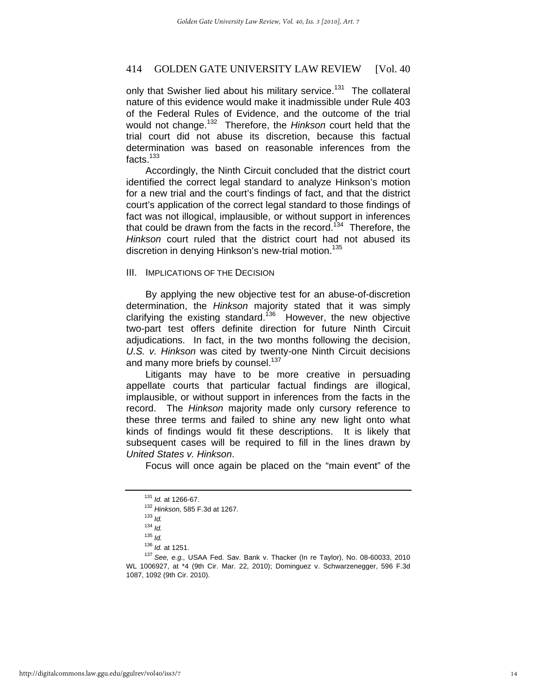only that Swisher lied about his military service.<sup>131</sup> The collateral nature of this evidence would make it inadmissible under Rule 403 of the Federal Rules of Evidence, and the outcome of the trial would not change.132 Therefore, the *Hinkson* court held that the trial court did not abuse its discretion, because this factual determination was based on reasonable inferences from the facts.<sup>133</sup>

Accordingly, the Ninth Circuit concluded that the district court identified the correct legal standard to analyze Hinkson's motion for a new trial and the court's findings of fact, and that the district court's application of the correct legal standard to those findings of fact was not illogical, implausible, or without support in inferences that could be drawn from the facts in the record.<sup>134</sup> Therefore, the *Hinkson* court ruled that the district court had not abused its discretion in denying Hinkson's new-trial motion.<sup>135</sup>

#### III. IMPLICATIONS OF THE DECISION

By applying the new objective test for an abuse-of-discretion determination, the *Hinkson* majority stated that it was simply clarifying the existing standard.<sup>136</sup> However, the new objective two-part test offers definite direction for future Ninth Circuit adjudications. In fact, in the two months following the decision, *U.S. v. Hinkson* was cited by twenty-one Ninth Circuit decisions and many more briefs by counsel.<sup>137</sup>

Litigants may have to be more creative in persuading appellate courts that particular factual findings are illogical, implausible, or without support in inferences from the facts in the record. The *Hinkson* majority made only cursory reference to these three terms and failed to shine any new light onto what kinds of findings would fit these descriptions. It is likely that subsequent cases will be required to fill in the lines drawn by *United States v. Hinkson*.

Focus will once again be placed on the "main event" of the

<sup>131</sup> *Id.* at 1266-67. 132 *Hinkson,* 585 F.3d at 1267. 133 *Id.* 

<sup>134</sup> *Id.*

<sup>&</sup>lt;sup>135</sup> *Id.*<br><sup>136</sup> *Id.* at 1251.

<sup>&</sup>lt;sup>137</sup> See, e.g., USAA Fed. Sav. Bank v. Thacker (In re Taylor), No. 08-60033, 2010 WL 1006927, at \*4 (9th Cir. Mar. 22, 2010); Dominguez v. Schwarzenegger, 596 F.3d 1087, 1092 (9th Cir. 2010).